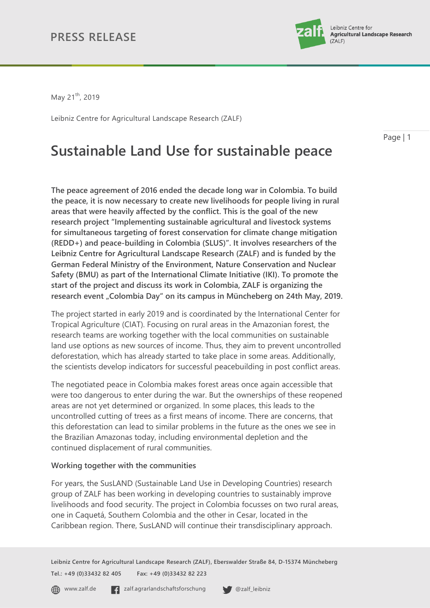

May 21<sup>th</sup>, 2019

Leibniz Centre for Agricultural Landscape Research (ZALF)

Page | 1

# **Sustainable Land Use for sustainable peace**

**The peace agreement of 2016 ended the decade long war in Colombia. To build the peace, it is now necessary to create new livelihoods for people living in rural areas that were heavily affected by the conflict. This is the goal of the new research project "Implementing sustainable agricultural and livestock systems for simultaneous targeting of forest conservation for climate change mitigation (REDD+) and peace-building in Colombia (SLUS)". It involves researchers of the Leibniz Centre for Agricultural Landscape Research (ZALF) and is funded by the German Federal Ministry of the Environment, Nature Conservation and Nuclear Safety (BMU) as part of the International Climate Initiative (IKI). To promote the start of the project and discuss its work in Colombia, ZALF is organizing the research event "Colombia Day" on its campus in Müncheberg on 24th May, 2019.**

The project started in early 2019 and is coordinated by the International Center for Tropical Agriculture (CIAT). Focusing on rural areas in the Amazonian forest, the research teams are working together with the local communities on sustainable land use options as new sources of income. Thus, they aim to prevent uncontrolled deforestation, which has already started to take place in some areas. Additionally, the scientists develop indicators for successful peacebuilding in post conflict areas.

The negotiated peace in Colombia makes forest areas once again accessible that were too dangerous to enter during the war. But the ownerships of these reopened areas are not yet determined or organized. In some places, this leads to the uncontrolled cutting of trees as a first means of income. There are concerns, that this deforestation can lead to similar problems in the future as the ones we see in the Brazilian Amazonas today, including environmental depletion and the continued displacement of rural communities.

### **Working together with the communities**

For years, the SusLAND (Sustainable Land Use in Developing Countries) research group of ZALF has been working in developing countries to sustainably improve livelihoods and food security. The project in Colombia focusses on two rural areas, one in Caquetá, Southern Colombia and the other in Cesar, located in the Caribbean region. There, SusLAND will continue their transdisciplinary approach.

**Leibniz Centre for Agricultural Landscape Research (ZALF), Eberswalder Straße 84, D-15374 Müncheberg Tel.: +49 (0)33432 82 405 Fax: +49 (0)33432 82 223**

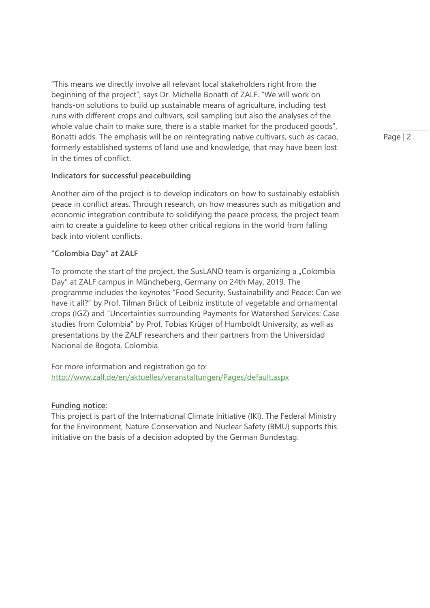"This means we directly involve all relevant local stakeholders right from the beginning of the project", says Dr. Michelle Bonatti of ZALF. "We will work on hands-on solutions to build up sustainable means of agriculture, including test runs with different crops and cultivars, soil sampling but also the analyses of the whole value chain to make sure, there is a stable market for the produced goods", Bonatti adds. The emphasis will be on reintegrating native cultivars, such as cacao, formerly established systems of land use and knowledge, that may have been lost in the times of conflict.

### **Indicators for successful peacebuilding**

Another aim of the project is to develop indicators on how to sustainably establish peace in conflict areas. Through research, on how measures such as mitigation and economic integration contribute to solidifying the peace process, the project team aim to create a guideline to keep other critical regions in the world from falling back into violent conflicts.

#### **"Colombia Day" at ZALF**

To promote the start of the project, the SusLAND team is organizing a "Colombia Day" at ZALF campus in Müncheberg, Germany on 24th May, 2019. The programme includes the keynotes "Food Security, Sustainability and Peace: Can we have it all?" by Prof. Tilman Brück of Leibniz institute of vegetable and ornamental crops (IGZ) and "Uncertainties surrounding Payments for Watershed Services: Case studies from Colombia" by Prof. Tobias Krüger of Humboldt University, as well as presentations by the ZALF researchers and their partners from the Universidad Nacional de Bogota, Colombia.

For more information and registration go to: <http://www.zalf.de/en/aktuelles/veranstaltungen/Pages/default.aspx>

### **Funding notice:**

This project is part of the International Climate Initiative (IKI). The Federal Ministry for the Environment, Nature Conservation and Nuclear Safety (BMU) supports this initiative on the basis of a decision adopted by the German Bundestag.

Page | 2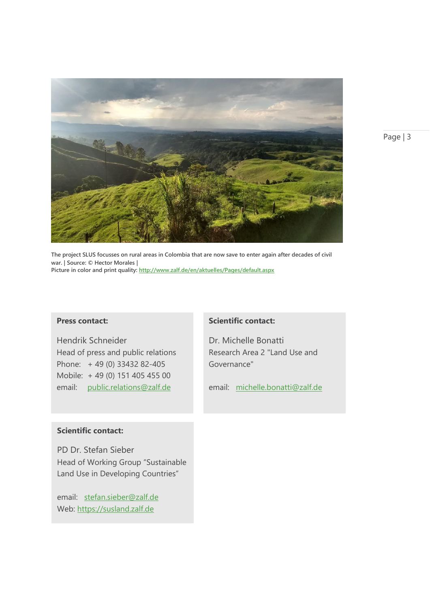

**The project SLUS focusses on rural areas in Colombia that are now save to enter again after decades of civil war. | Source: © Hector Morales | Picture in color and print quality[: http://www.zalf.de/en/aktuelles/Pages/default.aspx](http://www.zalf.de/en/aktuelles/Pages/default.aspx)**

### **Press contact:**

Hendrik Schneider Head of press and public relations Phone: + 49 (0) 33432 82-405 Mobile: + 49 (0) 151 405 455 00 email: [public.relations@zalf.de](mailto:public.relations@zalf.de)

### **Scientific contact:**

Dr. Michelle Bonatti Research Area 2 "Land Use and Governance"

email: michelle.bonatti@zalf.de

#### **Scientific contact:**

PD Dr. Stefan Sieber Head of Working Group "Sustainable Land Use in Developing Countries"

email: [stefan.sieber@zalf.de](mailto:stefan.sieber@zalf.de) Web: https://susland.zalf.de

Page | 3